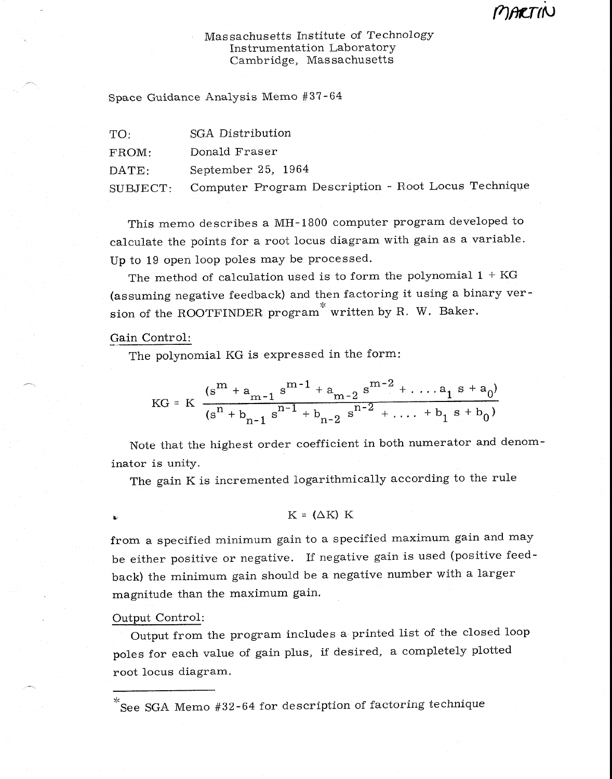# Massachusetts Institute of Technology Instrumentation Laboratory Cambridge, Massachusetts

Space Guidance Analysis Memo #37-64

TO: SGA Distribution FROM: Donald Fraser DATE: September 25, 1964 SUBJECT: Computer Program Description - Root Locus Technique

This memo describes a MH-1800 computer program developed to calculate the points for a root locus diagram with gain as a variable. Up to 19 open loop poles may be processed.

The method of calculation used is to form the polynomial  $1 + KG$ (assuming negative feedback) and then factoring it using a binary version of the ROOTFINDER program<sup>\*</sup> written by R. W. Baker.

# Gain Control:

The polynomial KG is expressed in the form:

$$
KG = K \frac{(s^{m} + a_{m-1} s^{m-1} + a_{m-2} s^{m-2} + \dots + a_1 s + a_0)}{(s^{n} + b_{n-1} s^{n-1} + b_{n-2} s^{n-2} + \dots + b_1 s + b_0)}
$$

Note that the highest order coefficient in both numerator and denominator is unity.

The gain K is incremented logarithmically according to the rule

## $K = (\Delta K) K$

from a specified minimum gain to a specified maximum gain and may be either positive or negative. If negative gain is used (positive feedback) the minimum gain should be a negative number with a larger magnitude than the maximum gain.

### Output Control:

Output from the program includes a printed list of the closed loop poles for each value of gain plus, if desired, a completely plotted root locus diagram.

See SGA Memo #32-64 for description of factoring technique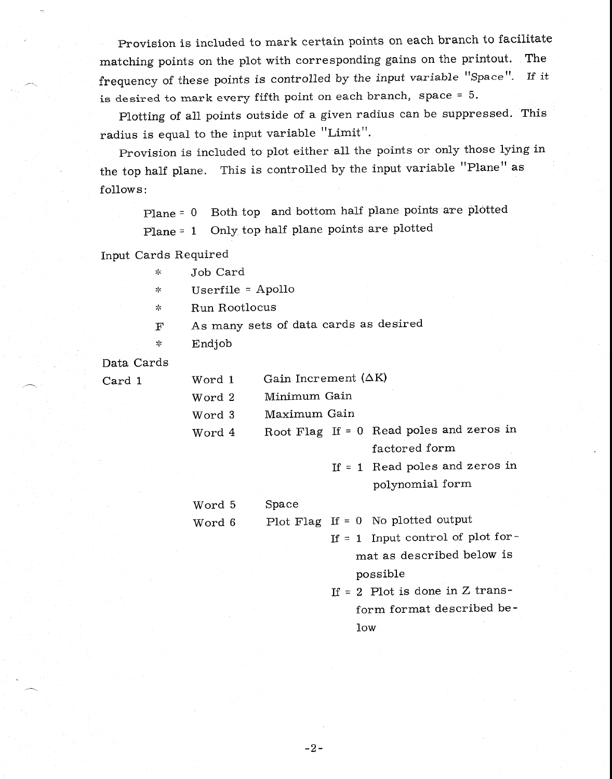Provision is included to mark certain points on each branch to facilitate matching points on the plot with corresponding gains on the printout. The frequency of these points is controlled by the input variable "Space". If it is desired to mark every fifth point on each branch, space = 5.

Plotting of all points outside of a given radius can be suppressed. This radius is equal to the input variable "Limit".

Provision is included to plot either all the points or only those lying in the top half plane. This is controlled by the input variable "Plane" as follows :

Plane = 0 Both top and bottom half plane points are plotted Plane = 1 Only, top half plane points are plotted

Input Cards Required

| ∗ | Job Card |
|---|----------|
|   |          |

 $\lesssim$ Userfile = Apollo

Run Rootlocus  $\mathbf{S}^{\text{L}}_{\text{F}}$ 

F As many sets of data cards as desired

Endjob  $\frac{1}{2}$ 

Data Cards

 $Card 1$ 

| Word 1 | Gain Increment $(\Delta K)$ |  |                                          |
|--------|-----------------------------|--|------------------------------------------|
| Word 2 | Minimum Gain                |  |                                          |
| Word 3 | Maximum Gain                |  |                                          |
| Word 4 |                             |  | Root Flag If = 0 Read poles and zeros in |
|        |                             |  | factored form                            |
|        |                             |  | If $= 1$ Read poles and zeros in         |
|        |                             |  | polynomial form                          |
| Word 5 | Space                       |  |                                          |
| Word 6 |                             |  | Plot Flag If = $0$ No plotted output     |
|        |                             |  | If = 1 Input control of plot for-        |
|        |                             |  | mat as described below is                |
|        |                             |  | possible                                 |
|        |                             |  |                                          |

If  $= 2$  Plot is done in Z transform format described below

 $-2-$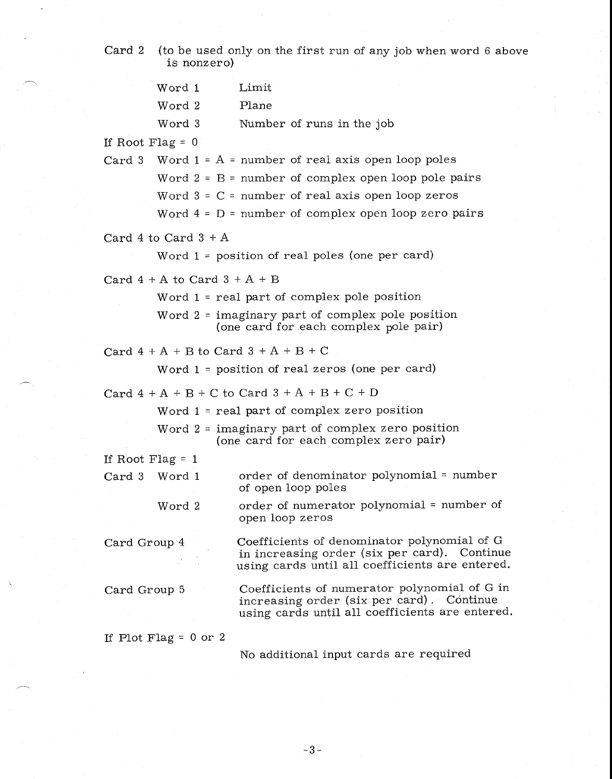Card 2 (to be used only on the first run of any job when word 6 above is nonzero)

|              | Word 1                                                                      | Limit                                                                                                                                          |
|--------------|-----------------------------------------------------------------------------|------------------------------------------------------------------------------------------------------------------------------------------------|
|              | Word 2                                                                      | Plane                                                                                                                                          |
|              | Word 3                                                                      | Number of runs in the job                                                                                                                      |
|              | If Root Flag = $0$                                                          |                                                                                                                                                |
|              |                                                                             | Card 3 Word $1 = A =$ number of real axis open loop poles                                                                                      |
|              |                                                                             | Word $2 = B$ = number of complex open loop pole pairs                                                                                          |
|              |                                                                             | Word $3 = C$ = number of real axis open loop zeros                                                                                             |
|              |                                                                             | Word $4 = D$ = number of complex open loop zero pairs                                                                                          |
|              | $\operatorname{Card} \, 4$ to $\operatorname{Card} \, 3 + \operatorname{A}$ |                                                                                                                                                |
|              |                                                                             | Word $1 =$ position of real poles (one per card)                                                                                               |
|              | Card $4 + A$ to Card $3 + A + B$                                            |                                                                                                                                                |
|              |                                                                             | Word $1$ = real part of complex pole position                                                                                                  |
|              |                                                                             | Word $2 =$ imaginary part of complex pole position<br>(one card for each complex pole pair)                                                    |
|              |                                                                             | Card $4+A+B$ to Card $3+A+B+C$                                                                                                                 |
|              |                                                                             | Word $1 =$ position of real zeros (one per card)                                                                                               |
|              |                                                                             | Card $4 + A + B + C$ to Card $3 + A + B + C + D$                                                                                               |
|              |                                                                             | Word $1$ = real part of complex zero position                                                                                                  |
|              |                                                                             | Word $2 =$ imaginary part of complex zero position<br>(one card for each complex zero pair)                                                    |
|              | If Root Flag = $1$                                                          |                                                                                                                                                |
|              | Card 3 Word 1                                                               | order of denominator polynomial = number<br>of open loop poles                                                                                 |
|              | Word 2                                                                      | order of numerator polynomial $=$ number of<br>open loop zeros                                                                                 |
| Card Group 4 |                                                                             | Coefficients of denominator polynomial of G<br>in increasing order (six per card). Continue<br>using cards until all coefficients are entered. |
| Card Group 5 |                                                                             | Coefficients of numerator polynomial of G in<br>increasing order (six per card). Continue<br>using cards until all coefficients are entered.   |
|              | If Plot Flag = $0$ or $2$                                                   |                                                                                                                                                |

No additional input cards are required